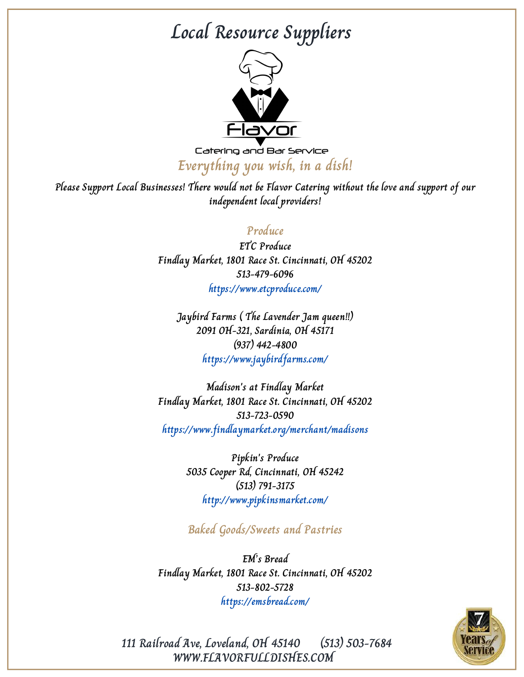

Catering and Bar Service **Everything you wish, in a dish!**

**Please Support Local Businesses! There would not be Flavor Catering without the love and support of our independent local providers!**

#### **Produce**

**ETC Produce Findlay Market, 1801 Race St. Cincinnati, OH 45202 513-479-6096 https://www.etcproduce.com/**

**Jaybird Farms ( The Lavender Jam queen!!) 2091 OH-321, Sardinia, OH 45171 (937) 442-4800 https://www.jaybirdfarms.com/**

**Madison's at Findlay Market Findlay Market, 1801 Race St. Cincinnati, OH 45202 513-723-0590 https://www.findlaymarket.org/merchant/madisons**

> **Pipkin's Produce 5035 Cooper Rd, Cincinnati, OH 45242 (513) 791-3175 http://www.pipkinsmarket.com/**

> **Baked Goods/Sweets and Pastries**

**EM's Bread Findlay Market, 1801 Race St. Cincinnati, OH 45202 513-802-5728 https://emsbread.com/**



**WWW.FLAVORFULLDISHES.COM 111 Railroad Ave, Loveland, OH 45140 (513) 503-7684**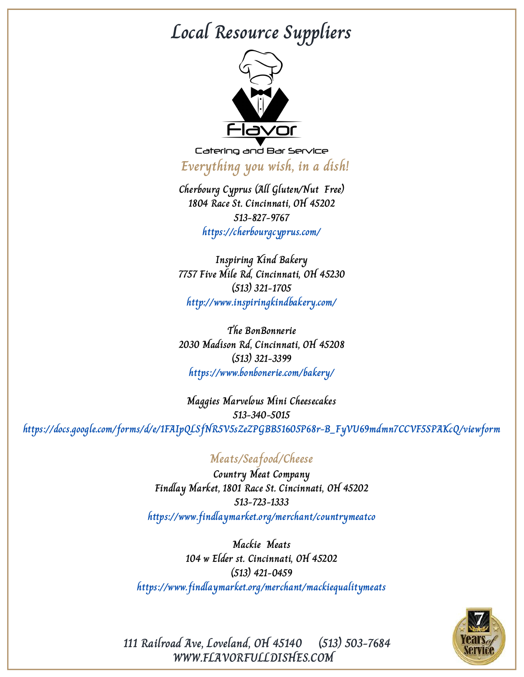

Catering and Bar Service **Everything you wish, in a dish!**

**Cherbourg Cyprus (All Gluten/Nut Free) 1804 Race St. Cincinnati, OH 45202 513-827-9767 https://cherbourgcyprus.com/**

**Inspiring Kind Bakery 7757 Five Mile Rd, Cincinnati, OH 45230 (513) 321-1705 http://www.inspiringkindbakery.com/**

**The BonBonnerie 2030 Madison Rd, Cincinnati, OH 45208 (513) 321-3399 https://www.bonbonerie.com/bakery/**

**Maggies Marvelous Mini Cheesecakes 513-340-5015 https://docs.google.com/forms/d/e/1FAIpQLSfNR5V5sZeZPGBB51605P68r-B\_FyVU69mdmn7CCVF5SPAKcQ/viewform**

#### **Meats/Seafood/Cheese**

**Country Meat Company Findlay Market, 1801 Race St. Cincinnati, OH 45202 513-723-1333 https://www.findlaymarket.org/merchant/countrymeatco**

**Mackie Meats 104 w Elder st. Cincinnati, OH 45202 (513) 421-0459 https://www.findlaymarket.org/merchant/mackiequalitymeats**



**111 Railroad Ave, Loveland, OH 45140 (513) 503-7684 WWW.FLAVORFULLDISHES.COM**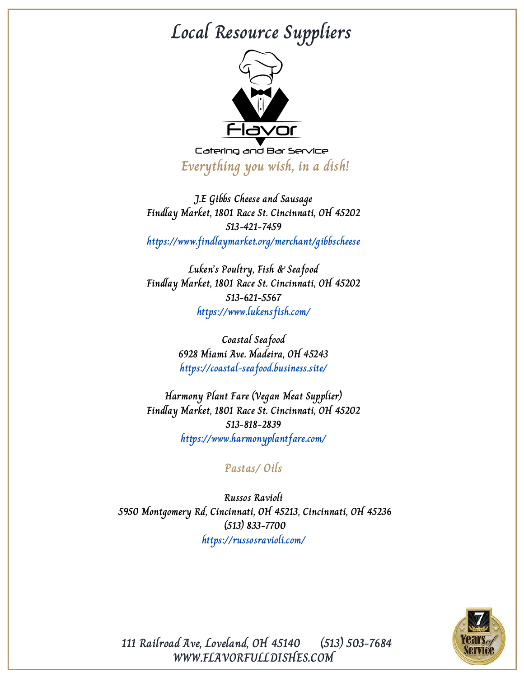

Catering and Bar Service **Everything you wish, in a dish!**

**J.E Gibbs Cheese and Sausage Findlay Market, 1801 Race St. Cincinnati, OH 45202 513-421-7459 https://www.findlaymarket.org/merchant/gibbscheese**

**Luken's Poultry, Fish & Seafood Findlay Market, 1801 Race St. Cincinnati, OH 45202 513-621-5567 https://www.lukensfish.com/**

> **Coastal Seafood 6928 Miami Ave. Madeira, OH 45243 https://coastal-seafood.business.site/**

**Harmony Plant Fare (Vegan Meat Supplier) Findlay Market, 1801 Race St. Cincinnati, OH 45202 513-818-2839 https://www.harmonyplantfare.com/**

#### **Pastas/ Oils**

**Russos Ravioli 5950 Montgomery Rd, Cincinnati, OH 45213, Cincinnati, OH 45236 (513) 833-7700 https://russosravioli.com/**



**111 Railroad Ave, Loveland, OH 45140 (513) 503-7684 WWW.FLAVORFULLDISHES.COM**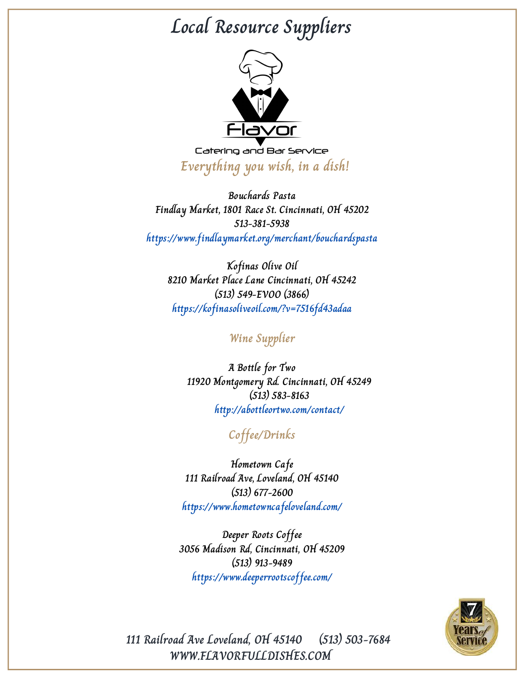

Catering and Bar Service **Everything you wish, in a dish!**

**Bouchards Pasta Findlay Market, 1801 Race St. Cincinnati, OH 45202 513-381-5938 https://www.findlaymarket.org/merchant/bouchardspasta**

**Kofinas Olive Oil 8210 Market Place Lane Cincinnati, OH 45242 (513) 549-EVOO (3866) https://kofinasoliveoil.com/?v=7516fd43adaa**

#### **Wine Supplier**

**A Bottle for Two 11920 Montgomery Rd. Cincinnati, OH 45249 (513) 583-8163 http://abottleortwo.com/contact/**

### **Coffee/Drinks**

**Hometown Cafe 111 Railroad Ave, Loveland, OH 45140 (513) 677-2600 https://www.hometowncafeloveland.com/**

**Deeper Roots Coffee 3056 Madison Rd, Cincinnati, OH 45209 (513) 913-9489 https://www.deeperrootscoffee.com/**



**111 Railroad Ave Loveland, OH 45140 (513) 503-7684 WWW.FLAVORFULLDISHES.COM**